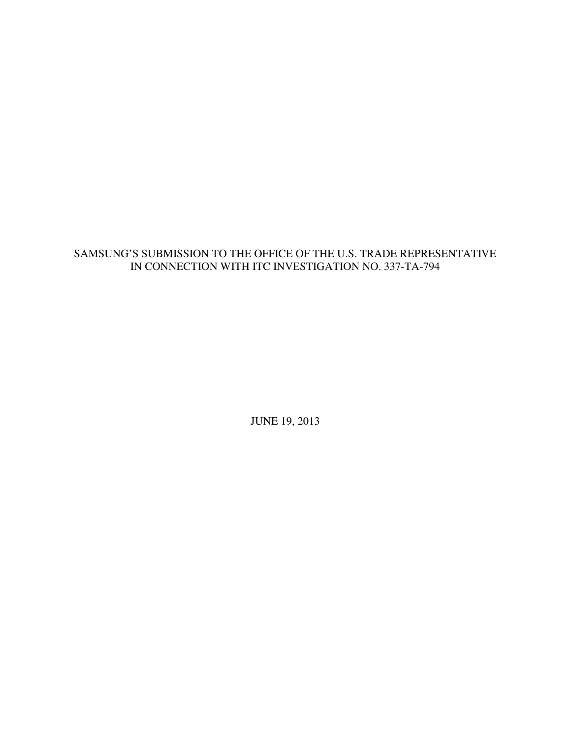# SAMSUNG'S SUBMISSION TO THE OFFICE OF THE U.S. TRADE REPRESENTATIVE IN CONNECTION WITH ITC INVESTIGATION NO. 337-TA-794

JUNE 19, 2013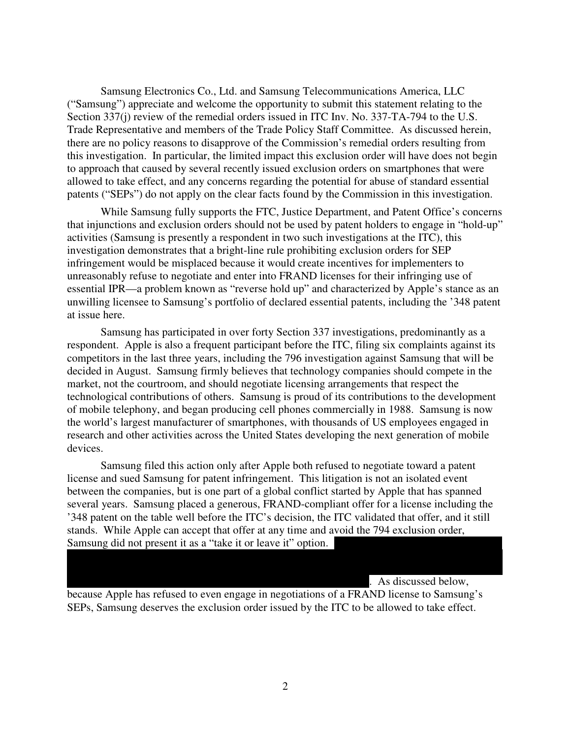Samsung Electronics Co., Ltd. and Samsung Telecommunications America, LLC ("Samsung") appreciate and welcome the opportunity to submit this statement relating to the Section 337(j) review of the remedial orders issued in ITC Inv. No. 337-TA-794 to the U.S. Trade Representative and members of the Trade Policy Staff Committee. As discussed herein, there are no policy reasons to disapprove of the Commission's remedial orders resulting from this investigation. In particular, the limited impact this exclusion order will have does not begin to approach that caused by several recently issued exclusion orders on smartphones that were allowed to take effect, and any concerns regarding the potential for abuse of standard essential patents ("SEPs") do not apply on the clear facts found by the Commission in this investigation.

 While Samsung fully supports the FTC, Justice Department, and Patent Office's concerns that injunctions and exclusion orders should not be used by patent holders to engage in "hold-up" activities (Samsung is presently a respondent in two such investigations at the ITC), this investigation demonstrates that a bright-line rule prohibiting exclusion orders for SEP infringement would be misplaced because it would create incentives for implementers to unreasonably refuse to negotiate and enter into FRAND licenses for their infringing use of essential IPR—a problem known as "reverse hold up" and characterized by Apple's stance as an unwilling licensee to Samsung's portfolio of declared essential patents, including the '348 patent at issue here.

 Samsung has participated in over forty Section 337 investigations, predominantly as a respondent. Apple is also a frequent participant before the ITC, filing six complaints against its competitors in the last three years, including the 796 investigation against Samsung that will be decided in August. Samsung firmly believes that technology companies should compete in the market, not the courtroom, and should negotiate licensing arrangements that respect the technological contributions of others. Samsung is proud of its contributions to the development of mobile telephony, and began producing cell phones commercially in 1988. Samsung is now the world's largest manufacturer of smartphones, with thousands of US employees engaged in research and other activities across the United States developing the next generation of mobile devices.

 Samsung filed this action only after Apple both refused to negotiate toward a patent license and sued Samsung for patent infringement. This litigation is not an isolated event between the companies, but is one part of a global conflict started by Apple that has spanned several years. Samsung placed a generous, FRAND-compliant offer for a license including the '348 patent on the table well before the ITC's decision, the ITC validated that offer, and it still stands. While Apple can accept that offer at any time and avoid the 794 exclusion order, Samsung did not present it as a "take it or leave it" option.

 $\mathcal{L} = \mathcal{L} \left( \mathcal{L} \right)$  $\mathcal{L} = \mathcal{L} \left( \mathcal{L} \right)$ 

. As discussed below,

because Apple has refused to even engage in negotiations of a FRAND license to Samsung's SEPs, Samsung deserves the exclusion order issued by the ITC to be allowed to take effect.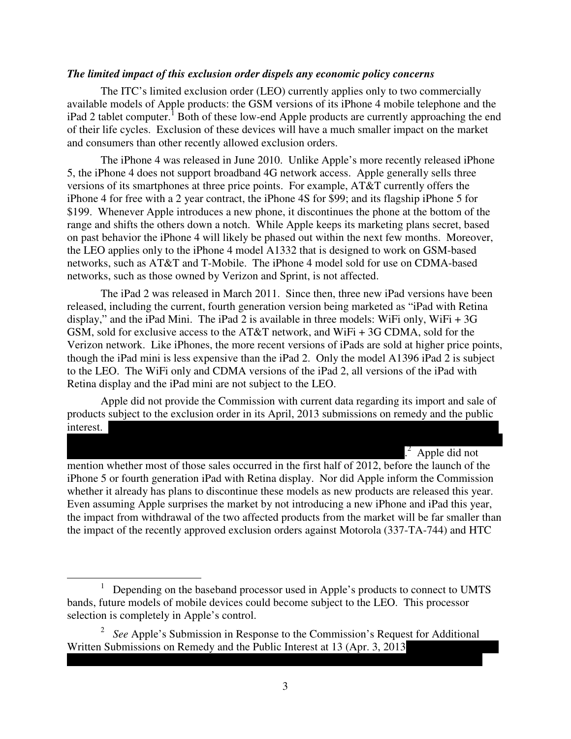#### *The limited impact of this exclusion order dispels any economic policy concerns*

 The ITC's limited exclusion order (LEO) currently applies only to two commercially available models of Apple products: the GSM versions of its iPhone 4 mobile telephone and the iPad 2 tablet computer.<sup>1</sup> Both of these low-end Apple products are currently approaching the end of their life cycles. Exclusion of these devices will have a much smaller impact on the market and consumers than other recently allowed exclusion orders.

 The iPhone 4 was released in June 2010. Unlike Apple's more recently released iPhone 5, the iPhone 4 does not support broadband 4G network access. Apple generally sells three versions of its smartphones at three price points. For example, AT&T currently offers the iPhone 4 for free with a 2 year contract, the iPhone 4S for \$99; and its flagship iPhone 5 for \$199. Whenever Apple introduces a new phone, it discontinues the phone at the bottom of the range and shifts the others down a notch. While Apple keeps its marketing plans secret, based on past behavior the iPhone 4 will likely be phased out within the next few months. Moreover, the LEO applies only to the iPhone 4 model A1332 that is designed to work on GSM-based networks, such as AT&T and T-Mobile. The iPhone 4 model sold for use on CDMA-based networks, such as those owned by Verizon and Sprint, is not affected.

 The iPad 2 was released in March 2011. Since then, three new iPad versions have been released, including the current, fourth generation version being marketed as "iPad with Retina display," and the iPad Mini. The iPad 2 is available in three models: WiFi only, WiFi + 3G GSM, sold for exclusive access to the AT&T network, and WiFi + 3G CDMA, sold for the Verizon network. Like iPhones, the more recent versions of iPads are sold at higher price points, though the iPad mini is less expensive than the iPad 2. Only the model A1396 iPad 2 is subject to the LEO. The WiFi only and CDMA versions of the iPad 2, all versions of the iPad with Retina display and the iPad mini are not subject to the LEO.

 Apple did not provide the Commission with current data regarding its import and sale of products subject to the exclusion order in its April, 2013 submissions on remedy and the public  $\blacksquare$ 

 $\mathcal{L} = \mathcal{L} \left( \mathcal{L} \right)$ 

 $\frac{2}{\cdot}$  $^{2}$  Apple did not

mention whether most of those sales occurred in the first half of 2012, before the launch of the iPhone 5 or fourth generation iPad with Retina display. Nor did Apple inform the Commission whether it already has plans to discontinue these models as new products are released this year. Even assuming Apple surprises the market by not introducing a new iPhone and iPad this year, the impact from withdrawal of the two affected products from the market will be far smaller than the impact of the recently approved exclusion orders against Motorola (337-TA-744) and HTC

 $\overline{a}$ 

| | | | | | | | | | | | | | | | | | | | | | | | | | | | | | | | | | | | | | | | | | | | | | | | | | | | | | | | | | | | | | | | | | | | | | | | | | | | | | | | | | |

<sup>&</sup>lt;sup>1</sup> Depending on the baseband processor used in Apple's products to connect to UMTS bands, future models of mobile devices could become subject to the LEO. This processor selection is completely in Apple's control.

<sup>&</sup>lt;sup>2</sup> See Apple's Submission in Response to the Commission's Request for Additional Written Submissions on Remedy and the Public Interest at 13 (Apr. 3, 2013)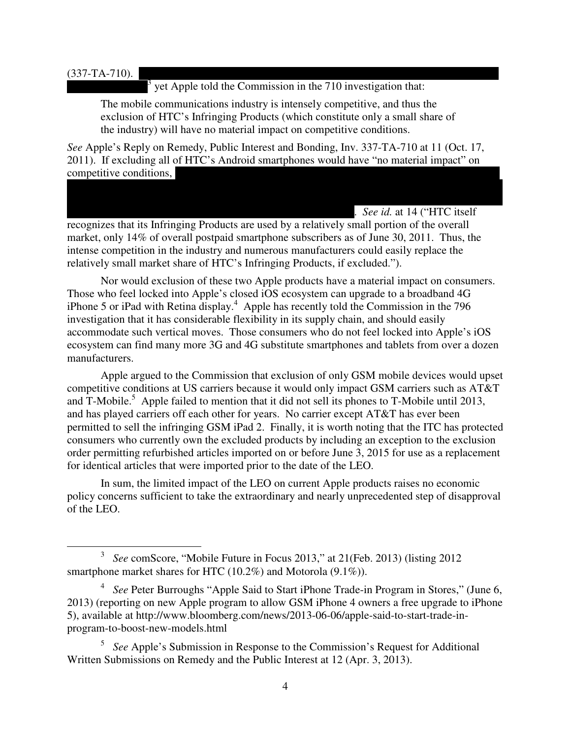#### $(337-TA-710).$

l

 $\frac{1}{3}$  $3 \text{ yet Apple told the Commission in the 710 investigation that:}$ 

The mobile communications industry is intensely competitive, and thus the exclusion of HTC's Infringing Products (which constitute only a small share of the industry) will have no material impact on competitive conditions.

*See* Apple's Reply on Remedy, Public Interest and Bonding, Inv. 337-TA-710 at 11 (Oct. 17, 2011). If excluding all of HTC's Android smartphones would have "no material impact" on competitive conditions,

 $\mathcal{L} = \mathcal{L} \left( \mathcal{L} \right)$  $\mathcal{L} = \mathcal{L} \left( \mathcal{L} \right)$ 

. *See id.* at 14 ("HTC itself recognizes that its Infringing Products are used by a relatively small portion of the overall market, only 14% of overall postpaid smartphone subscribers as of June 30, 2011. Thus, the intense competition in the industry and numerous manufacturers could easily replace the relatively small market share of HTC's Infringing Products, if excluded.").

 Nor would exclusion of these two Apple products have a material impact on consumers. Those who feel locked into Apple's closed iOS ecosystem can upgrade to a broadband 4G iPhone 5 or iPad with Retina display.<sup>4</sup> Apple has recently told the Commission in the 796 investigation that it has considerable flexibility in its supply chain, and should easily accommodate such vertical moves. Those consumers who do not feel locked into Apple's iOS ecosystem can find many more 3G and 4G substitute smartphones and tablets from over a dozen manufacturers.

 Apple argued to the Commission that exclusion of only GSM mobile devices would upset competitive conditions at US carriers because it would only impact GSM carriers such as AT&T and  $\overline{T}$ -Mobile.<sup>5</sup> Apple failed to mention that it did not sell its phones to  $T$ -Mobile until 2013, and has played carriers off each other for years. No carrier except AT&T has ever been permitted to sell the infringing GSM iPad 2. Finally, it is worth noting that the ITC has protected consumers who currently own the excluded products by including an exception to the exclusion order permitting refurbished articles imported on or before June 3, 2015 for use as a replacement for identical articles that were imported prior to the date of the LEO.

 In sum, the limited impact of the LEO on current Apple products raises no economic policy concerns sufficient to take the extraordinary and nearly unprecedented step of disapproval of the LEO.

<sup>3</sup> *See* comScore, "Mobile Future in Focus 2013," at 21(Feb. 2013) (listing 2012 smartphone market shares for HTC (10.2%) and Motorola (9.1%)).

<sup>&</sup>lt;sup>4</sup> See Peter Burroughs "Apple Said to Start iPhone Trade-in Program in Stores," (June 6, 2013) (reporting on new Apple program to allow GSM iPhone 4 owners a free upgrade to iPhone 5), available at http://www.bloomberg.com/news/2013-06-06/apple-said-to-start-trade-inprogram-to-boost-new-models.html

<sup>5</sup> *See* Apple's Submission in Response to the Commission's Request for Additional Written Submissions on Remedy and the Public Interest at 12 (Apr. 3, 2013).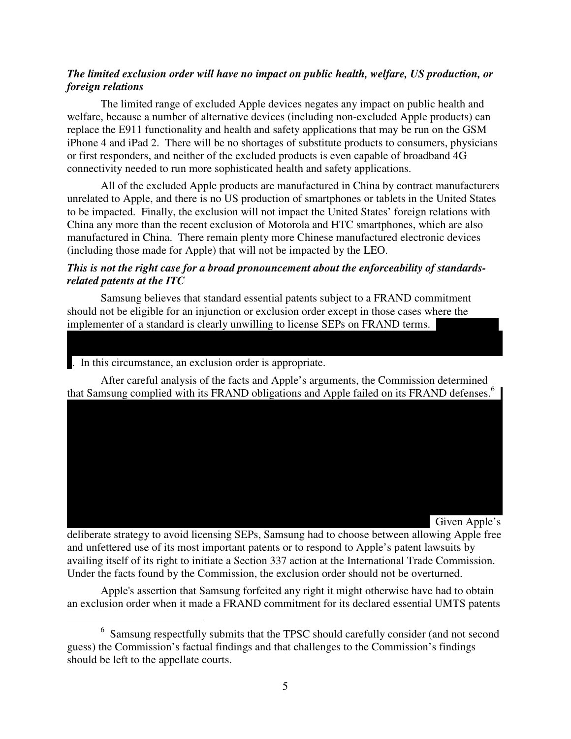### *The limited exclusion order will have no impact on public health, welfare, US production, or foreign relations*

 The limited range of excluded Apple devices negates any impact on public health and welfare, because a number of alternative devices (including non-excluded Apple products) can replace the E911 functionality and health and safety applications that may be run on the GSM iPhone 4 and iPad 2. There will be no shortages of substitute products to consumers, physicians or first responders, and neither of the excluded products is even capable of broadband 4G connectivity needed to run more sophisticated health and safety applications.

 All of the excluded Apple products are manufactured in China by contract manufacturers unrelated to Apple, and there is no US production of smartphones or tablets in the United States to be impacted. Finally, the exclusion will not impact the United States' foreign relations with China any more than the recent exclusion of Motorola and HTC smartphones, which are also manufactured in China. There remain plenty more Chinese manufactured electronic devices (including those made for Apple) that will not be impacted by the LEO.

### *This is not the right case for a broad pronouncement about the enforceability of standardsrelated patents at the ITC*

 Samsung believes that standard essential patents subject to a FRAND commitment should not be eligible for an injunction or exclusion order except in those cases where the implementer of a standard is clearly unwilling to license SEPs on FRAND terms.

. In this circumstance, an exclusion order is appropriate.

 After careful analysis of the facts and Apple's arguments, the Commission determined that Samsung complied with its FRAND obligations and Apple failed on its FRAND defenses.<sup>6</sup>

 $\mathcal{L} = \mathcal{L} \left( \mathcal{L} \right)$  $\mathcal{L} = \mathcal{L} \left( \mathcal{L} \right)$  $\mathcal{L} = \mathcal{L} \left( \mathcal{L} \right)$  $\mathcal{L} = \mathcal{L} \left( \mathcal{L} \right)$  $\mathcal{L} = \mathcal{L} \left( \mathcal{L} \right)$  $\mathcal{L} = \mathcal{L} \left( \mathcal{L} \right)$  $\mathcal{L} = \mathcal{L} \left( \mathcal{L} \right)$  $\mathcal{L} = \mathcal{L} \left( \mathcal{L} \right)$ 

 $\mathcal{L} = \mathcal{L} \left( \mathcal{L} \right)$  $\mathcal{L} = \mathcal{L} \left( \mathcal{L} \right)$ 

 $\mathcal{L} = \mathcal{L} \left( \mathcal{L} \right)$ Given Apple's

deliberate strategy to avoid licensing SEPs, Samsung had to choose between allowing Apple free and unfettered use of its most important patents or to respond to Apple's patent lawsuits by availing itself of its right to initiate a Section 337 action at the International Trade Commission. Under the facts found by the Commission, the exclusion order should not be overturned.

 Apple's assertion that Samsung forfeited any right it might otherwise have had to obtain an exclusion order when it made a FRAND commitment for its declared essential UMTS patents

l <sup>6</sup> Samsung respectfully submits that the TPSC should carefully consider (and not second guess) the Commission's factual findings and that challenges to the Commission's findings should be left to the appellate courts.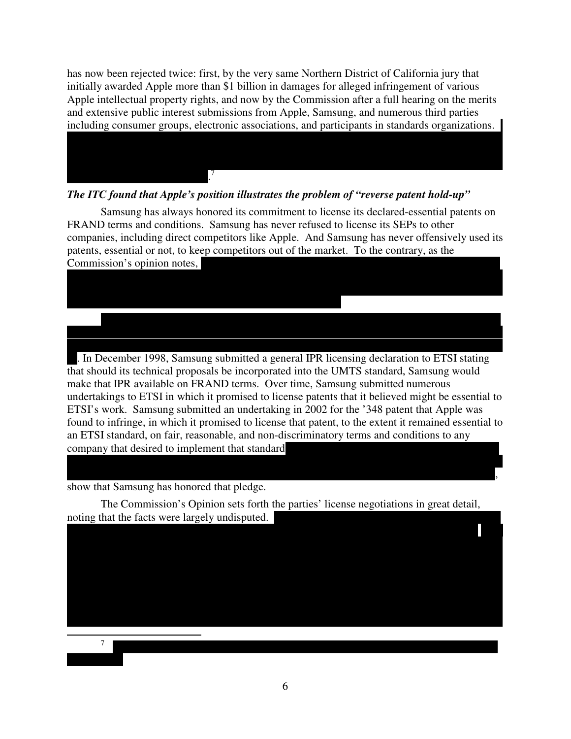has now been rejected twice: first, by the very same Northern District of California jury that initially awarded Apple more than \$1 billion in damages for alleged infringement of various Apple intellectual property rights, and now by the Commission after a full hearing on the merits and extensive public interest submissions from Apple, Samsung, and numerous third parties including consumer groups, electronic associations, and participants in standards organizations.

 $\mathcal{L} = \mathcal{L} \left( \mathcal{L} \right)$  $\mathcal{L} = \mathcal{L} \left( \mathcal{L} \right)$  $\mathcal{L} = \mathcal{L} \left( \mathcal{L} \right)$ 

#### *The ITC found that Apple's position illustrates the problem of "reverse patent hold-up"*

 Samsung has always honored its commitment to license its declared-essential patents on FRAND terms and conditions. Samsung has never refused to license its SEPs to other companies, including direct competitors like Apple. And Samsung has never offensively used its patents, essential or not, to keep competitors out of the market. To the contrary, as the Commission's opinion notes,

 $\mathcal{L} = \mathcal{L} \left( \mathcal{L} \right)$  $\mathcal{L} = \mathcal{L} \left( \mathcal{L} \right)$ 

 | | | | | | | | | | | | | | | | | | | | | | | | | | | | | | | | | | | | | | | | | | | | | | | | | | | | | | | | | | | | | | | | | | | | | | | | | | | | | | | |  $\mathcal{L} = \mathcal{L} \left( \mathcal{L} \right)$ 

 $\mathcal{L} = \mathcal{L} \left( \mathcal{L} \right)$ . In December 1998, Samsung submitted a general IPR licensing declaration to ETSI stating that should its technical proposals be incorporated into the UMTS standard, Samsung would make that IPR available on FRAND terms. Over time, Samsung submitted numerous undertakings to ETSI in which it promised to license patents that it believed might be essential to ETSI's work. Samsung submitted an undertaking in 2002 for the '348 patent that Apple was found to infringe, in which it promised to license that patent, to the extent it remained essential to an ETSI standard, on fair, reasonable, and non-discriminatory terms and conditions to any company that desired to implement that standard

 $\mathcal{L} = \mathcal{L} \left( \mathcal{L} \right)$  $\, , \,$ 

show that Samsung has honored that pledge.

 $\overline{a}$ 

| | | | | | | | | | | | | | | | | | | | | | | | | | | | | | | | | | | | | | | | | | | | | | | | | | | | | | |

 $\frac{7}{1}$ 

 The Commission's Opinion sets forth the parties' license negotiations in great detail, noting that the facts were largely undisputed.

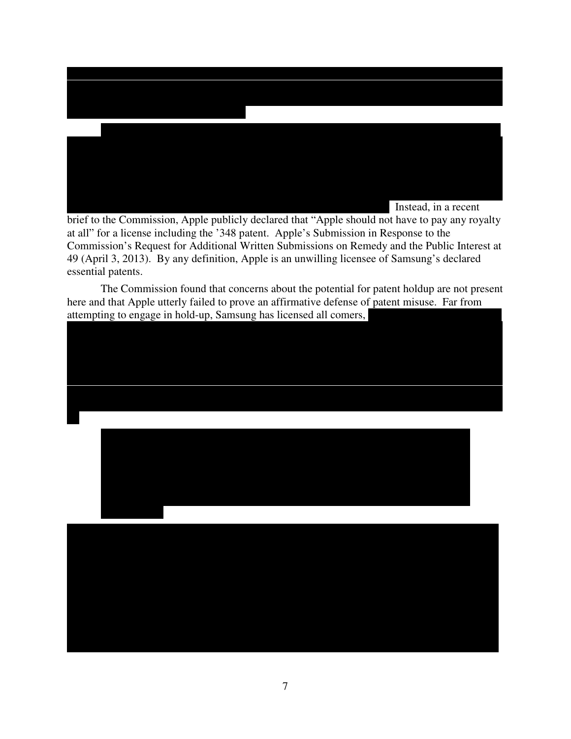

brief to the Commission, Apple publicly declared that "Apple should not have to pay any royalty at all" for a license including the '348 patent. Apple's Submission in Response to the Commission's Request for Additional Written Submissions on Remedy and the Public Interest at 49 (April 3, 2013). By any definition, Apple is an unwilling licensee of Samsung's declared essential patents.

The Commission found that concerns about the potential for patent holdup are not present here and that Apple utterly failed to prove an affirmative defense of patent misuse. Far from attempting to engage in hold-up, Samsung has licensed all comers,